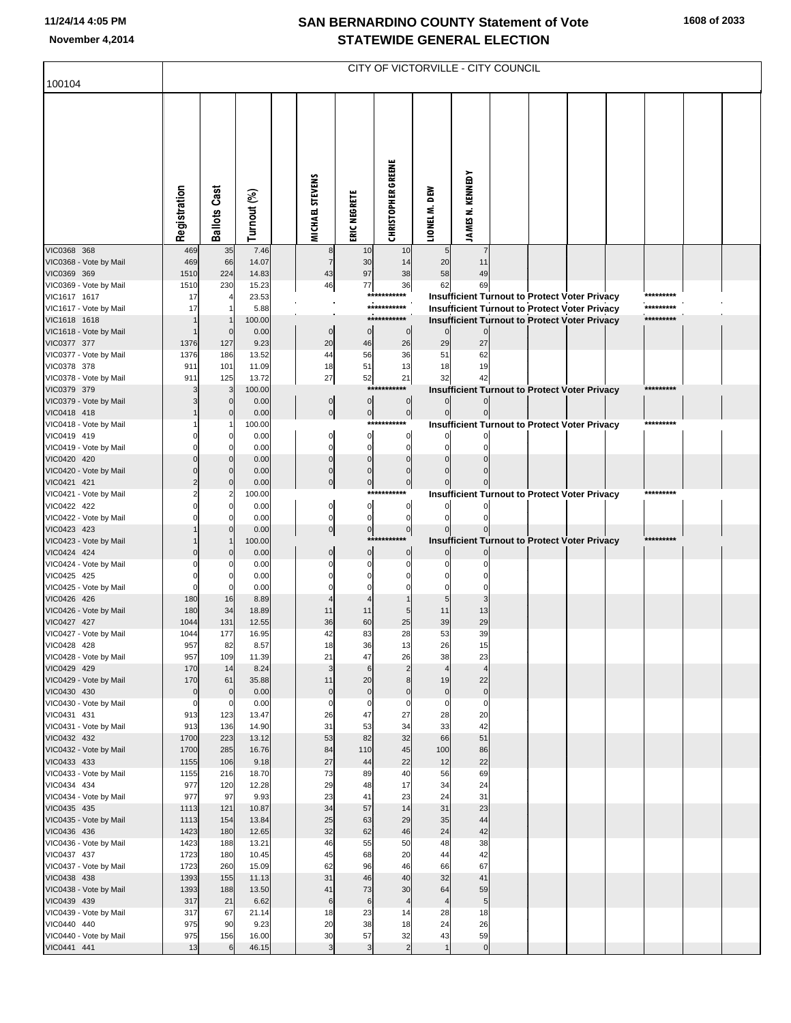## **SAN BERNARDINO COUNTY Statement of Vote November 4,2014 STATEWIDE GENERAL ELECTION**

| 100104<br><b>CHRISTOPHER GREENE</b><br><b>JAMES N. KENNEDY</b><br>MICHAEL STEVENS<br><b>Ballots Cast</b><br>Registration<br>LIONEL M. DEW<br>Turnout (%)<br>ERIC NEGRETE<br>VIC0368 368<br>35<br>7.46<br>469<br>10<br>8<br>10<br>5<br>$\overline{7}$<br>VIC0368 - Vote by Mail<br>66<br>14.07<br>20<br>469<br>$\overline{7}$<br>30<br>14<br>11<br>VIC0369 369<br>224<br>14.83<br>43<br>97<br>38<br>58<br>49<br>1510<br>VIC0369 - Vote by Mail<br>77<br>36<br>1510<br>230<br>15.23<br>46<br>62<br>69<br>23.53<br><b>Insufficient Turnout to Protect Voter Privacy</b><br>VIC1617 1617<br>17<br>***<br>*********<br>***********<br>VIC1617 - Vote by Mail<br><b>Insufficient Turnout to Protect Voter Privacy</b><br>*********<br>17<br>5.88<br>***********<br>VIC1618 1618<br>100.00<br><b>Insufficient Turnout to Protect Voter Privacy</b><br>*********<br>VIC1618 - Vote by Mail<br>0.00<br>$\mathbf 0$<br>$\mathbf 0$<br>$\overline{0}$<br>$\Omega$<br>VIC0377 377<br>9.23<br>20<br>46<br>26<br>29<br>27<br>1376<br>127<br>VIC0377 - Vote by Mail<br>13.52<br>44<br>36<br>51<br>62<br>1376<br>186<br>56<br>VIC0378 378<br>11.09<br>18<br>51<br>13<br>19<br>911<br>101<br>18<br>VIC0378 - Vote by Mail<br>27<br>52<br>21<br>42<br>911<br>125<br>13.72<br>32<br>VIC0379 379<br>100.00<br><b>Insufficient Turnout to Protect Voter Privacy</b><br>*********<br>$***$<br>3<br>VIC0379 - Vote by Mail<br>0.00<br>$\mathbf 0$<br>$\overline{0}$<br>$\mathbf 0$<br>$\overline{0}$<br>VIC0418 418<br>0.00<br>$\overline{0}$<br>$\pmb{0}$<br>0l<br>VIC0418 - Vote by Mail<br>*********<br>100.00<br>***********<br>Insufficient Turnout to Protect Voter Privacy<br>VIC0419 419<br>0.00<br>0<br>$\overline{0}$<br>0<br>VIC0419 - Vote by Mail<br>0.00<br>$\Omega$<br>$\mathbf 0$<br>VIC0420 420<br>0.00<br>$\Omega$<br>$\Omega$<br>VIC0420 - Vote by Mail<br>0.00<br>$\Omega$<br>$\Omega$<br>$\mathbf 0$<br>VIC0421 421<br>0.00<br>$\Omega$<br>$\mathbf 0$<br>$\mathbf 0$<br>VIC0421 - Vote by Mail<br><b>Insufficient Turnout to Protect Voter Privacy</b><br>100.00<br>****<br>*********<br>VIC0422 422<br><sub>0</sub><br>0.00<br>0<br>$\mathbf 0$<br>VIC0422 - Vote by Mail<br>$\overline{0}$<br>0.00<br>0<br>$\Omega$<br>VIC0423 423<br>0.00<br> 0 <br>$\overline{0}$<br>$\pmb{0}$<br>VIC0423 - Vote by Mail<br>*******<br><b>Insufficient Turnout to Protect Voter Privacy</b><br>*********<br>100.00<br>VIC0424 424<br>0.00<br>$\overline{0}$<br>$\overline{0}$<br>$\mathbf 0$<br>VIC0424 - Vote by Mail<br>0.00<br>VIC0425 425<br>0.00<br>VIC0425 - Vote by Mail<br>0.00<br>$\Omega$<br>VIC0426 426<br>8.89<br>180<br>16<br>VIC0426 - Vote by Mail<br>34<br>18.89<br>13<br>180<br>11<br>11<br>11<br>29<br>VIC0427 427<br>12.55<br>39<br>1044<br>131<br>36<br>60<br>25<br>VIC0427 - Vote by Mail<br>1044<br>16.95<br>42<br>28<br>53<br>39<br>177<br>83<br>VIC0428 428<br>8.57<br>957<br>82<br>18<br>36<br>13<br>26<br>15<br>47<br>VIC0428 - Vote by Mail<br>957<br>109<br>11.39<br>21<br>26<br>38<br>23<br>$\overline{2}$<br>$\overline{4}$<br>VIC0429 429<br>170<br>14<br>8.24<br>3<br>$6\phantom{1}6$<br>$\overline{4}$<br>22<br>VIC0429 - Vote by Mail<br>170<br>61<br>35.88<br>11<br>20<br>8<br>19<br>$\overline{0}$<br>VIC0430 430<br>0.00<br>$\pmb{0}$<br>$\pmb{0}$<br>$\circ$<br>$\bf 0$<br>$\mathbf 0$<br>$\mathbf 0$<br>VIC0430 - Vote by Mail<br>0.00<br>$\overline{0}$<br>$\mathbf 0$<br>$\mathbf 0$<br>$\mathbf 0$<br>$\mathbf 0$<br>$\mathbf 0$<br>$\mathbf 0$<br>13.47<br>27<br>VIC0431 431<br>913<br>123<br>26<br>47<br>28<br>20<br>42<br>VIC0431 - Vote by Mail<br>913<br>136<br>14.90<br>31<br>53<br>34<br>33<br>32<br>66<br>51<br>VIC0432 432<br>1700<br>223<br>13.12<br>53<br>82<br>45<br>VIC0432 - Vote by Mail<br>285<br>16.76<br>84<br>110<br>100<br>86<br>1700<br>22<br>VIC0433 433<br>106<br>9.18<br>27<br>44<br>22<br>12<br>1155<br>VIC0433 - Vote by Mail<br>216<br>18.70<br>73<br>40<br>56<br>69<br>1155<br>89<br>VIC0434 434<br>977<br>12.28<br>29<br>48<br>17<br>34<br>24<br>120<br>VIC0434 - Vote by Mail<br>977<br>97<br>9.93<br>23<br>41<br>23<br>24<br>31<br>34<br>14<br>31<br>23<br>VIC0435 435<br>1113<br>121<br>10.87<br>57<br>VIC0435 - Vote by Mail<br>154<br>13.84<br>25<br>63<br>29<br>44<br>1113<br>35<br>12.65<br>46<br>24<br>42<br>VIC0436 436<br>1423<br>180<br>32<br>62<br>VIC0436 - Vote by Mail<br>13.21<br>46<br>50<br>48<br>38<br>1423<br>188<br>55<br>42<br>VIC0437 437<br>180<br>10.45<br>45<br>68<br>20<br>44<br>1723<br>67<br>VIC0437 - Vote by Mail<br>1723<br>260<br>15.09<br>62<br>96<br>46<br>66<br>41<br>31<br>40<br>32<br>VIC0438 438<br>1393<br>155<br>11.13<br>46<br>VIC0438 - Vote by Mail<br>188<br>13.50<br>41<br>73<br>30<br>64<br>59<br>1393<br>VIC0439 439<br>317<br>21<br>6.62<br>$\,6$<br>$6\phantom{1}6$<br>5 <sub>1</sub><br>$\overline{4}$<br>$\overline{\mathcal{L}}$<br>VIC0439 - Vote by Mail<br>21.14<br>18<br>23<br>28<br>18<br>317<br>67<br>14<br>24<br>VIC0440 440<br>975<br>90<br>9.23<br>20<br>38<br>18<br>26<br>VIC0440 - Vote by Mail<br>975<br>16.00<br>30<br>57<br>32<br>43<br>59<br>156<br>$\overline{2}$<br>13<br>46.15<br>$\mathbf{3}$<br>$\overline{0}$<br>VIC0441 441<br>3<br>6<br>$\overline{1}$ | CITY OF VICTORVILLE - CITY COUNCIL |  |  |  |  |  |  |  |  |  |  |  |  |  |
|----------------------------------------------------------------------------------------------------------------------------------------------------------------------------------------------------------------------------------------------------------------------------------------------------------------------------------------------------------------------------------------------------------------------------------------------------------------------------------------------------------------------------------------------------------------------------------------------------------------------------------------------------------------------------------------------------------------------------------------------------------------------------------------------------------------------------------------------------------------------------------------------------------------------------------------------------------------------------------------------------------------------------------------------------------------------------------------------------------------------------------------------------------------------------------------------------------------------------------------------------------------------------------------------------------------------------------------------------------------------------------------------------------------------------------------------------------------------------------------------------------------------------------------------------------------------------------------------------------------------------------------------------------------------------------------------------------------------------------------------------------------------------------------------------------------------------------------------------------------------------------------------------------------------------------------------------------------------------------------------------------------------------------------------------------------------------------------------------------------------------------------------------------------------------------------------------------------------------------------------------------------------------------------------------------------------------------------------------------------------------------------------------------------------------------------------------------------------------------------------------------------------------------------------------------------------------------------------------------------------------------------------------------------------------------------------------------------------------------------------------------------------------------------------------------------------------------------------------------------------------------------------------------------------------------------------------------------------------------------------------------------------------------------------------------------------------------------------------------------------------------------------------------------------------------------------------------------------------------------------------------------------------------------------------------------------------------------------------------------------------------------------------------------------------------------------------------------------------------------------------------------------------------------------------------------------------------------------------------------------------------------------------------------------------------------------------------------------------------------------------------------------------------------------------------------------------------------------------------------------------------------------------------------------------------------------------------------------------------------------------------------------------------------------------------------------------------------------------------------------------------------------------------------------------------------------------------------------------------------------------------------------------------------------------------------------------------------------------------------------------------------------------------------------------------------------------------------------------------------------------------------------------------------------------------------------------------------------------------------------------------------------------------------------------------------------------------------------------------------------------------------------------------------------------------------------------------------------------------------------------------------------------------------------------------------------------------------------------------------------------------------------------------------------------------------------------------------------------------------------------------------------------------------------------------------------|------------------------------------|--|--|--|--|--|--|--|--|--|--|--|--|--|
|                                                                                                                                                                                                                                                                                                                                                                                                                                                                                                                                                                                                                                                                                                                                                                                                                                                                                                                                                                                                                                                                                                                                                                                                                                                                                                                                                                                                                                                                                                                                                                                                                                                                                                                                                                                                                                                                                                                                                                                                                                                                                                                                                                                                                                                                                                                                                                                                                                                                                                                                                                                                                                                                                                                                                                                                                                                                                                                                                                                                                                                                                                                                                                                                                                                                                                                                                                                                                                                                                                                                                                                                                                                                                                                                                                                                                                                                                                                                                                                                                                                                                                                                                                                                                                                                                                                                                                                                                                                                                                                                                                                                                                                                                                                                                                                                                                                                                                                                                                                                                                                                                                                                                                                              |                                    |  |  |  |  |  |  |  |  |  |  |  |  |  |
|                                                                                                                                                                                                                                                                                                                                                                                                                                                                                                                                                                                                                                                                                                                                                                                                                                                                                                                                                                                                                                                                                                                                                                                                                                                                                                                                                                                                                                                                                                                                                                                                                                                                                                                                                                                                                                                                                                                                                                                                                                                                                                                                                                                                                                                                                                                                                                                                                                                                                                                                                                                                                                                                                                                                                                                                                                                                                                                                                                                                                                                                                                                                                                                                                                                                                                                                                                                                                                                                                                                                                                                                                                                                                                                                                                                                                                                                                                                                                                                                                                                                                                                                                                                                                                                                                                                                                                                                                                                                                                                                                                                                                                                                                                                                                                                                                                                                                                                                                                                                                                                                                                                                                                                              |                                    |  |  |  |  |  |  |  |  |  |  |  |  |  |
|                                                                                                                                                                                                                                                                                                                                                                                                                                                                                                                                                                                                                                                                                                                                                                                                                                                                                                                                                                                                                                                                                                                                                                                                                                                                                                                                                                                                                                                                                                                                                                                                                                                                                                                                                                                                                                                                                                                                                                                                                                                                                                                                                                                                                                                                                                                                                                                                                                                                                                                                                                                                                                                                                                                                                                                                                                                                                                                                                                                                                                                                                                                                                                                                                                                                                                                                                                                                                                                                                                                                                                                                                                                                                                                                                                                                                                                                                                                                                                                                                                                                                                                                                                                                                                                                                                                                                                                                                                                                                                                                                                                                                                                                                                                                                                                                                                                                                                                                                                                                                                                                                                                                                                                              |                                    |  |  |  |  |  |  |  |  |  |  |  |  |  |
|                                                                                                                                                                                                                                                                                                                                                                                                                                                                                                                                                                                                                                                                                                                                                                                                                                                                                                                                                                                                                                                                                                                                                                                                                                                                                                                                                                                                                                                                                                                                                                                                                                                                                                                                                                                                                                                                                                                                                                                                                                                                                                                                                                                                                                                                                                                                                                                                                                                                                                                                                                                                                                                                                                                                                                                                                                                                                                                                                                                                                                                                                                                                                                                                                                                                                                                                                                                                                                                                                                                                                                                                                                                                                                                                                                                                                                                                                                                                                                                                                                                                                                                                                                                                                                                                                                                                                                                                                                                                                                                                                                                                                                                                                                                                                                                                                                                                                                                                                                                                                                                                                                                                                                                              |                                    |  |  |  |  |  |  |  |  |  |  |  |  |  |
|                                                                                                                                                                                                                                                                                                                                                                                                                                                                                                                                                                                                                                                                                                                                                                                                                                                                                                                                                                                                                                                                                                                                                                                                                                                                                                                                                                                                                                                                                                                                                                                                                                                                                                                                                                                                                                                                                                                                                                                                                                                                                                                                                                                                                                                                                                                                                                                                                                                                                                                                                                                                                                                                                                                                                                                                                                                                                                                                                                                                                                                                                                                                                                                                                                                                                                                                                                                                                                                                                                                                                                                                                                                                                                                                                                                                                                                                                                                                                                                                                                                                                                                                                                                                                                                                                                                                                                                                                                                                                                                                                                                                                                                                                                                                                                                                                                                                                                                                                                                                                                                                                                                                                                                              |                                    |  |  |  |  |  |  |  |  |  |  |  |  |  |
|                                                                                                                                                                                                                                                                                                                                                                                                                                                                                                                                                                                                                                                                                                                                                                                                                                                                                                                                                                                                                                                                                                                                                                                                                                                                                                                                                                                                                                                                                                                                                                                                                                                                                                                                                                                                                                                                                                                                                                                                                                                                                                                                                                                                                                                                                                                                                                                                                                                                                                                                                                                                                                                                                                                                                                                                                                                                                                                                                                                                                                                                                                                                                                                                                                                                                                                                                                                                                                                                                                                                                                                                                                                                                                                                                                                                                                                                                                                                                                                                                                                                                                                                                                                                                                                                                                                                                                                                                                                                                                                                                                                                                                                                                                                                                                                                                                                                                                                                                                                                                                                                                                                                                                                              |                                    |  |  |  |  |  |  |  |  |  |  |  |  |  |
|                                                                                                                                                                                                                                                                                                                                                                                                                                                                                                                                                                                                                                                                                                                                                                                                                                                                                                                                                                                                                                                                                                                                                                                                                                                                                                                                                                                                                                                                                                                                                                                                                                                                                                                                                                                                                                                                                                                                                                                                                                                                                                                                                                                                                                                                                                                                                                                                                                                                                                                                                                                                                                                                                                                                                                                                                                                                                                                                                                                                                                                                                                                                                                                                                                                                                                                                                                                                                                                                                                                                                                                                                                                                                                                                                                                                                                                                                                                                                                                                                                                                                                                                                                                                                                                                                                                                                                                                                                                                                                                                                                                                                                                                                                                                                                                                                                                                                                                                                                                                                                                                                                                                                                                              |                                    |  |  |  |  |  |  |  |  |  |  |  |  |  |
|                                                                                                                                                                                                                                                                                                                                                                                                                                                                                                                                                                                                                                                                                                                                                                                                                                                                                                                                                                                                                                                                                                                                                                                                                                                                                                                                                                                                                                                                                                                                                                                                                                                                                                                                                                                                                                                                                                                                                                                                                                                                                                                                                                                                                                                                                                                                                                                                                                                                                                                                                                                                                                                                                                                                                                                                                                                                                                                                                                                                                                                                                                                                                                                                                                                                                                                                                                                                                                                                                                                                                                                                                                                                                                                                                                                                                                                                                                                                                                                                                                                                                                                                                                                                                                                                                                                                                                                                                                                                                                                                                                                                                                                                                                                                                                                                                                                                                                                                                                                                                                                                                                                                                                                              |                                    |  |  |  |  |  |  |  |  |  |  |  |  |  |
|                                                                                                                                                                                                                                                                                                                                                                                                                                                                                                                                                                                                                                                                                                                                                                                                                                                                                                                                                                                                                                                                                                                                                                                                                                                                                                                                                                                                                                                                                                                                                                                                                                                                                                                                                                                                                                                                                                                                                                                                                                                                                                                                                                                                                                                                                                                                                                                                                                                                                                                                                                                                                                                                                                                                                                                                                                                                                                                                                                                                                                                                                                                                                                                                                                                                                                                                                                                                                                                                                                                                                                                                                                                                                                                                                                                                                                                                                                                                                                                                                                                                                                                                                                                                                                                                                                                                                                                                                                                                                                                                                                                                                                                                                                                                                                                                                                                                                                                                                                                                                                                                                                                                                                                              |                                    |  |  |  |  |  |  |  |  |  |  |  |  |  |
|                                                                                                                                                                                                                                                                                                                                                                                                                                                                                                                                                                                                                                                                                                                                                                                                                                                                                                                                                                                                                                                                                                                                                                                                                                                                                                                                                                                                                                                                                                                                                                                                                                                                                                                                                                                                                                                                                                                                                                                                                                                                                                                                                                                                                                                                                                                                                                                                                                                                                                                                                                                                                                                                                                                                                                                                                                                                                                                                                                                                                                                                                                                                                                                                                                                                                                                                                                                                                                                                                                                                                                                                                                                                                                                                                                                                                                                                                                                                                                                                                                                                                                                                                                                                                                                                                                                                                                                                                                                                                                                                                                                                                                                                                                                                                                                                                                                                                                                                                                                                                                                                                                                                                                                              |                                    |  |  |  |  |  |  |  |  |  |  |  |  |  |
|                                                                                                                                                                                                                                                                                                                                                                                                                                                                                                                                                                                                                                                                                                                                                                                                                                                                                                                                                                                                                                                                                                                                                                                                                                                                                                                                                                                                                                                                                                                                                                                                                                                                                                                                                                                                                                                                                                                                                                                                                                                                                                                                                                                                                                                                                                                                                                                                                                                                                                                                                                                                                                                                                                                                                                                                                                                                                                                                                                                                                                                                                                                                                                                                                                                                                                                                                                                                                                                                                                                                                                                                                                                                                                                                                                                                                                                                                                                                                                                                                                                                                                                                                                                                                                                                                                                                                                                                                                                                                                                                                                                                                                                                                                                                                                                                                                                                                                                                                                                                                                                                                                                                                                                              |                                    |  |  |  |  |  |  |  |  |  |  |  |  |  |
|                                                                                                                                                                                                                                                                                                                                                                                                                                                                                                                                                                                                                                                                                                                                                                                                                                                                                                                                                                                                                                                                                                                                                                                                                                                                                                                                                                                                                                                                                                                                                                                                                                                                                                                                                                                                                                                                                                                                                                                                                                                                                                                                                                                                                                                                                                                                                                                                                                                                                                                                                                                                                                                                                                                                                                                                                                                                                                                                                                                                                                                                                                                                                                                                                                                                                                                                                                                                                                                                                                                                                                                                                                                                                                                                                                                                                                                                                                                                                                                                                                                                                                                                                                                                                                                                                                                                                                                                                                                                                                                                                                                                                                                                                                                                                                                                                                                                                                                                                                                                                                                                                                                                                                                              |                                    |  |  |  |  |  |  |  |  |  |  |  |  |  |
|                                                                                                                                                                                                                                                                                                                                                                                                                                                                                                                                                                                                                                                                                                                                                                                                                                                                                                                                                                                                                                                                                                                                                                                                                                                                                                                                                                                                                                                                                                                                                                                                                                                                                                                                                                                                                                                                                                                                                                                                                                                                                                                                                                                                                                                                                                                                                                                                                                                                                                                                                                                                                                                                                                                                                                                                                                                                                                                                                                                                                                                                                                                                                                                                                                                                                                                                                                                                                                                                                                                                                                                                                                                                                                                                                                                                                                                                                                                                                                                                                                                                                                                                                                                                                                                                                                                                                                                                                                                                                                                                                                                                                                                                                                                                                                                                                                                                                                                                                                                                                                                                                                                                                                                              |                                    |  |  |  |  |  |  |  |  |  |  |  |  |  |
|                                                                                                                                                                                                                                                                                                                                                                                                                                                                                                                                                                                                                                                                                                                                                                                                                                                                                                                                                                                                                                                                                                                                                                                                                                                                                                                                                                                                                                                                                                                                                                                                                                                                                                                                                                                                                                                                                                                                                                                                                                                                                                                                                                                                                                                                                                                                                                                                                                                                                                                                                                                                                                                                                                                                                                                                                                                                                                                                                                                                                                                                                                                                                                                                                                                                                                                                                                                                                                                                                                                                                                                                                                                                                                                                                                                                                                                                                                                                                                                                                                                                                                                                                                                                                                                                                                                                                                                                                                                                                                                                                                                                                                                                                                                                                                                                                                                                                                                                                                                                                                                                                                                                                                                              |                                    |  |  |  |  |  |  |  |  |  |  |  |  |  |
|                                                                                                                                                                                                                                                                                                                                                                                                                                                                                                                                                                                                                                                                                                                                                                                                                                                                                                                                                                                                                                                                                                                                                                                                                                                                                                                                                                                                                                                                                                                                                                                                                                                                                                                                                                                                                                                                                                                                                                                                                                                                                                                                                                                                                                                                                                                                                                                                                                                                                                                                                                                                                                                                                                                                                                                                                                                                                                                                                                                                                                                                                                                                                                                                                                                                                                                                                                                                                                                                                                                                                                                                                                                                                                                                                                                                                                                                                                                                                                                                                                                                                                                                                                                                                                                                                                                                                                                                                                                                                                                                                                                                                                                                                                                                                                                                                                                                                                                                                                                                                                                                                                                                                                                              |                                    |  |  |  |  |  |  |  |  |  |  |  |  |  |
|                                                                                                                                                                                                                                                                                                                                                                                                                                                                                                                                                                                                                                                                                                                                                                                                                                                                                                                                                                                                                                                                                                                                                                                                                                                                                                                                                                                                                                                                                                                                                                                                                                                                                                                                                                                                                                                                                                                                                                                                                                                                                                                                                                                                                                                                                                                                                                                                                                                                                                                                                                                                                                                                                                                                                                                                                                                                                                                                                                                                                                                                                                                                                                                                                                                                                                                                                                                                                                                                                                                                                                                                                                                                                                                                                                                                                                                                                                                                                                                                                                                                                                                                                                                                                                                                                                                                                                                                                                                                                                                                                                                                                                                                                                                                                                                                                                                                                                                                                                                                                                                                                                                                                                                              |                                    |  |  |  |  |  |  |  |  |  |  |  |  |  |
|                                                                                                                                                                                                                                                                                                                                                                                                                                                                                                                                                                                                                                                                                                                                                                                                                                                                                                                                                                                                                                                                                                                                                                                                                                                                                                                                                                                                                                                                                                                                                                                                                                                                                                                                                                                                                                                                                                                                                                                                                                                                                                                                                                                                                                                                                                                                                                                                                                                                                                                                                                                                                                                                                                                                                                                                                                                                                                                                                                                                                                                                                                                                                                                                                                                                                                                                                                                                                                                                                                                                                                                                                                                                                                                                                                                                                                                                                                                                                                                                                                                                                                                                                                                                                                                                                                                                                                                                                                                                                                                                                                                                                                                                                                                                                                                                                                                                                                                                                                                                                                                                                                                                                                                              |                                    |  |  |  |  |  |  |  |  |  |  |  |  |  |
|                                                                                                                                                                                                                                                                                                                                                                                                                                                                                                                                                                                                                                                                                                                                                                                                                                                                                                                                                                                                                                                                                                                                                                                                                                                                                                                                                                                                                                                                                                                                                                                                                                                                                                                                                                                                                                                                                                                                                                                                                                                                                                                                                                                                                                                                                                                                                                                                                                                                                                                                                                                                                                                                                                                                                                                                                                                                                                                                                                                                                                                                                                                                                                                                                                                                                                                                                                                                                                                                                                                                                                                                                                                                                                                                                                                                                                                                                                                                                                                                                                                                                                                                                                                                                                                                                                                                                                                                                                                                                                                                                                                                                                                                                                                                                                                                                                                                                                                                                                                                                                                                                                                                                                                              |                                    |  |  |  |  |  |  |  |  |  |  |  |  |  |
|                                                                                                                                                                                                                                                                                                                                                                                                                                                                                                                                                                                                                                                                                                                                                                                                                                                                                                                                                                                                                                                                                                                                                                                                                                                                                                                                                                                                                                                                                                                                                                                                                                                                                                                                                                                                                                                                                                                                                                                                                                                                                                                                                                                                                                                                                                                                                                                                                                                                                                                                                                                                                                                                                                                                                                                                                                                                                                                                                                                                                                                                                                                                                                                                                                                                                                                                                                                                                                                                                                                                                                                                                                                                                                                                                                                                                                                                                                                                                                                                                                                                                                                                                                                                                                                                                                                                                                                                                                                                                                                                                                                                                                                                                                                                                                                                                                                                                                                                                                                                                                                                                                                                                                                              |                                    |  |  |  |  |  |  |  |  |  |  |  |  |  |
|                                                                                                                                                                                                                                                                                                                                                                                                                                                                                                                                                                                                                                                                                                                                                                                                                                                                                                                                                                                                                                                                                                                                                                                                                                                                                                                                                                                                                                                                                                                                                                                                                                                                                                                                                                                                                                                                                                                                                                                                                                                                                                                                                                                                                                                                                                                                                                                                                                                                                                                                                                                                                                                                                                                                                                                                                                                                                                                                                                                                                                                                                                                                                                                                                                                                                                                                                                                                                                                                                                                                                                                                                                                                                                                                                                                                                                                                                                                                                                                                                                                                                                                                                                                                                                                                                                                                                                                                                                                                                                                                                                                                                                                                                                                                                                                                                                                                                                                                                                                                                                                                                                                                                                                              |                                    |  |  |  |  |  |  |  |  |  |  |  |  |  |
|                                                                                                                                                                                                                                                                                                                                                                                                                                                                                                                                                                                                                                                                                                                                                                                                                                                                                                                                                                                                                                                                                                                                                                                                                                                                                                                                                                                                                                                                                                                                                                                                                                                                                                                                                                                                                                                                                                                                                                                                                                                                                                                                                                                                                                                                                                                                                                                                                                                                                                                                                                                                                                                                                                                                                                                                                                                                                                                                                                                                                                                                                                                                                                                                                                                                                                                                                                                                                                                                                                                                                                                                                                                                                                                                                                                                                                                                                                                                                                                                                                                                                                                                                                                                                                                                                                                                                                                                                                                                                                                                                                                                                                                                                                                                                                                                                                                                                                                                                                                                                                                                                                                                                                                              |                                    |  |  |  |  |  |  |  |  |  |  |  |  |  |
|                                                                                                                                                                                                                                                                                                                                                                                                                                                                                                                                                                                                                                                                                                                                                                                                                                                                                                                                                                                                                                                                                                                                                                                                                                                                                                                                                                                                                                                                                                                                                                                                                                                                                                                                                                                                                                                                                                                                                                                                                                                                                                                                                                                                                                                                                                                                                                                                                                                                                                                                                                                                                                                                                                                                                                                                                                                                                                                                                                                                                                                                                                                                                                                                                                                                                                                                                                                                                                                                                                                                                                                                                                                                                                                                                                                                                                                                                                                                                                                                                                                                                                                                                                                                                                                                                                                                                                                                                                                                                                                                                                                                                                                                                                                                                                                                                                                                                                                                                                                                                                                                                                                                                                                              |                                    |  |  |  |  |  |  |  |  |  |  |  |  |  |
|                                                                                                                                                                                                                                                                                                                                                                                                                                                                                                                                                                                                                                                                                                                                                                                                                                                                                                                                                                                                                                                                                                                                                                                                                                                                                                                                                                                                                                                                                                                                                                                                                                                                                                                                                                                                                                                                                                                                                                                                                                                                                                                                                                                                                                                                                                                                                                                                                                                                                                                                                                                                                                                                                                                                                                                                                                                                                                                                                                                                                                                                                                                                                                                                                                                                                                                                                                                                                                                                                                                                                                                                                                                                                                                                                                                                                                                                                                                                                                                                                                                                                                                                                                                                                                                                                                                                                                                                                                                                                                                                                                                                                                                                                                                                                                                                                                                                                                                                                                                                                                                                                                                                                                                              |                                    |  |  |  |  |  |  |  |  |  |  |  |  |  |
|                                                                                                                                                                                                                                                                                                                                                                                                                                                                                                                                                                                                                                                                                                                                                                                                                                                                                                                                                                                                                                                                                                                                                                                                                                                                                                                                                                                                                                                                                                                                                                                                                                                                                                                                                                                                                                                                                                                                                                                                                                                                                                                                                                                                                                                                                                                                                                                                                                                                                                                                                                                                                                                                                                                                                                                                                                                                                                                                                                                                                                                                                                                                                                                                                                                                                                                                                                                                                                                                                                                                                                                                                                                                                                                                                                                                                                                                                                                                                                                                                                                                                                                                                                                                                                                                                                                                                                                                                                                                                                                                                                                                                                                                                                                                                                                                                                                                                                                                                                                                                                                                                                                                                                                              |                                    |  |  |  |  |  |  |  |  |  |  |  |  |  |
|                                                                                                                                                                                                                                                                                                                                                                                                                                                                                                                                                                                                                                                                                                                                                                                                                                                                                                                                                                                                                                                                                                                                                                                                                                                                                                                                                                                                                                                                                                                                                                                                                                                                                                                                                                                                                                                                                                                                                                                                                                                                                                                                                                                                                                                                                                                                                                                                                                                                                                                                                                                                                                                                                                                                                                                                                                                                                                                                                                                                                                                                                                                                                                                                                                                                                                                                                                                                                                                                                                                                                                                                                                                                                                                                                                                                                                                                                                                                                                                                                                                                                                                                                                                                                                                                                                                                                                                                                                                                                                                                                                                                                                                                                                                                                                                                                                                                                                                                                                                                                                                                                                                                                                                              |                                    |  |  |  |  |  |  |  |  |  |  |  |  |  |
|                                                                                                                                                                                                                                                                                                                                                                                                                                                                                                                                                                                                                                                                                                                                                                                                                                                                                                                                                                                                                                                                                                                                                                                                                                                                                                                                                                                                                                                                                                                                                                                                                                                                                                                                                                                                                                                                                                                                                                                                                                                                                                                                                                                                                                                                                                                                                                                                                                                                                                                                                                                                                                                                                                                                                                                                                                                                                                                                                                                                                                                                                                                                                                                                                                                                                                                                                                                                                                                                                                                                                                                                                                                                                                                                                                                                                                                                                                                                                                                                                                                                                                                                                                                                                                                                                                                                                                                                                                                                                                                                                                                                                                                                                                                                                                                                                                                                                                                                                                                                                                                                                                                                                                                              |                                    |  |  |  |  |  |  |  |  |  |  |  |  |  |
|                                                                                                                                                                                                                                                                                                                                                                                                                                                                                                                                                                                                                                                                                                                                                                                                                                                                                                                                                                                                                                                                                                                                                                                                                                                                                                                                                                                                                                                                                                                                                                                                                                                                                                                                                                                                                                                                                                                                                                                                                                                                                                                                                                                                                                                                                                                                                                                                                                                                                                                                                                                                                                                                                                                                                                                                                                                                                                                                                                                                                                                                                                                                                                                                                                                                                                                                                                                                                                                                                                                                                                                                                                                                                                                                                                                                                                                                                                                                                                                                                                                                                                                                                                                                                                                                                                                                                                                                                                                                                                                                                                                                                                                                                                                                                                                                                                                                                                                                                                                                                                                                                                                                                                                              |                                    |  |  |  |  |  |  |  |  |  |  |  |  |  |
|                                                                                                                                                                                                                                                                                                                                                                                                                                                                                                                                                                                                                                                                                                                                                                                                                                                                                                                                                                                                                                                                                                                                                                                                                                                                                                                                                                                                                                                                                                                                                                                                                                                                                                                                                                                                                                                                                                                                                                                                                                                                                                                                                                                                                                                                                                                                                                                                                                                                                                                                                                                                                                                                                                                                                                                                                                                                                                                                                                                                                                                                                                                                                                                                                                                                                                                                                                                                                                                                                                                                                                                                                                                                                                                                                                                                                                                                                                                                                                                                                                                                                                                                                                                                                                                                                                                                                                                                                                                                                                                                                                                                                                                                                                                                                                                                                                                                                                                                                                                                                                                                                                                                                                                              |                                    |  |  |  |  |  |  |  |  |  |  |  |  |  |
|                                                                                                                                                                                                                                                                                                                                                                                                                                                                                                                                                                                                                                                                                                                                                                                                                                                                                                                                                                                                                                                                                                                                                                                                                                                                                                                                                                                                                                                                                                                                                                                                                                                                                                                                                                                                                                                                                                                                                                                                                                                                                                                                                                                                                                                                                                                                                                                                                                                                                                                                                                                                                                                                                                                                                                                                                                                                                                                                                                                                                                                                                                                                                                                                                                                                                                                                                                                                                                                                                                                                                                                                                                                                                                                                                                                                                                                                                                                                                                                                                                                                                                                                                                                                                                                                                                                                                                                                                                                                                                                                                                                                                                                                                                                                                                                                                                                                                                                                                                                                                                                                                                                                                                                              |                                    |  |  |  |  |  |  |  |  |  |  |  |  |  |
|                                                                                                                                                                                                                                                                                                                                                                                                                                                                                                                                                                                                                                                                                                                                                                                                                                                                                                                                                                                                                                                                                                                                                                                                                                                                                                                                                                                                                                                                                                                                                                                                                                                                                                                                                                                                                                                                                                                                                                                                                                                                                                                                                                                                                                                                                                                                                                                                                                                                                                                                                                                                                                                                                                                                                                                                                                                                                                                                                                                                                                                                                                                                                                                                                                                                                                                                                                                                                                                                                                                                                                                                                                                                                                                                                                                                                                                                                                                                                                                                                                                                                                                                                                                                                                                                                                                                                                                                                                                                                                                                                                                                                                                                                                                                                                                                                                                                                                                                                                                                                                                                                                                                                                                              |                                    |  |  |  |  |  |  |  |  |  |  |  |  |  |
|                                                                                                                                                                                                                                                                                                                                                                                                                                                                                                                                                                                                                                                                                                                                                                                                                                                                                                                                                                                                                                                                                                                                                                                                                                                                                                                                                                                                                                                                                                                                                                                                                                                                                                                                                                                                                                                                                                                                                                                                                                                                                                                                                                                                                                                                                                                                                                                                                                                                                                                                                                                                                                                                                                                                                                                                                                                                                                                                                                                                                                                                                                                                                                                                                                                                                                                                                                                                                                                                                                                                                                                                                                                                                                                                                                                                                                                                                                                                                                                                                                                                                                                                                                                                                                                                                                                                                                                                                                                                                                                                                                                                                                                                                                                                                                                                                                                                                                                                                                                                                                                                                                                                                                                              |                                    |  |  |  |  |  |  |  |  |  |  |  |  |  |
|                                                                                                                                                                                                                                                                                                                                                                                                                                                                                                                                                                                                                                                                                                                                                                                                                                                                                                                                                                                                                                                                                                                                                                                                                                                                                                                                                                                                                                                                                                                                                                                                                                                                                                                                                                                                                                                                                                                                                                                                                                                                                                                                                                                                                                                                                                                                                                                                                                                                                                                                                                                                                                                                                                                                                                                                                                                                                                                                                                                                                                                                                                                                                                                                                                                                                                                                                                                                                                                                                                                                                                                                                                                                                                                                                                                                                                                                                                                                                                                                                                                                                                                                                                                                                                                                                                                                                                                                                                                                                                                                                                                                                                                                                                                                                                                                                                                                                                                                                                                                                                                                                                                                                                                              |                                    |  |  |  |  |  |  |  |  |  |  |  |  |  |
|                                                                                                                                                                                                                                                                                                                                                                                                                                                                                                                                                                                                                                                                                                                                                                                                                                                                                                                                                                                                                                                                                                                                                                                                                                                                                                                                                                                                                                                                                                                                                                                                                                                                                                                                                                                                                                                                                                                                                                                                                                                                                                                                                                                                                                                                                                                                                                                                                                                                                                                                                                                                                                                                                                                                                                                                                                                                                                                                                                                                                                                                                                                                                                                                                                                                                                                                                                                                                                                                                                                                                                                                                                                                                                                                                                                                                                                                                                                                                                                                                                                                                                                                                                                                                                                                                                                                                                                                                                                                                                                                                                                                                                                                                                                                                                                                                                                                                                                                                                                                                                                                                                                                                                                              |                                    |  |  |  |  |  |  |  |  |  |  |  |  |  |
|                                                                                                                                                                                                                                                                                                                                                                                                                                                                                                                                                                                                                                                                                                                                                                                                                                                                                                                                                                                                                                                                                                                                                                                                                                                                                                                                                                                                                                                                                                                                                                                                                                                                                                                                                                                                                                                                                                                                                                                                                                                                                                                                                                                                                                                                                                                                                                                                                                                                                                                                                                                                                                                                                                                                                                                                                                                                                                                                                                                                                                                                                                                                                                                                                                                                                                                                                                                                                                                                                                                                                                                                                                                                                                                                                                                                                                                                                                                                                                                                                                                                                                                                                                                                                                                                                                                                                                                                                                                                                                                                                                                                                                                                                                                                                                                                                                                                                                                                                                                                                                                                                                                                                                                              |                                    |  |  |  |  |  |  |  |  |  |  |  |  |  |
|                                                                                                                                                                                                                                                                                                                                                                                                                                                                                                                                                                                                                                                                                                                                                                                                                                                                                                                                                                                                                                                                                                                                                                                                                                                                                                                                                                                                                                                                                                                                                                                                                                                                                                                                                                                                                                                                                                                                                                                                                                                                                                                                                                                                                                                                                                                                                                                                                                                                                                                                                                                                                                                                                                                                                                                                                                                                                                                                                                                                                                                                                                                                                                                                                                                                                                                                                                                                                                                                                                                                                                                                                                                                                                                                                                                                                                                                                                                                                                                                                                                                                                                                                                                                                                                                                                                                                                                                                                                                                                                                                                                                                                                                                                                                                                                                                                                                                                                                                                                                                                                                                                                                                                                              |                                    |  |  |  |  |  |  |  |  |  |  |  |  |  |
|                                                                                                                                                                                                                                                                                                                                                                                                                                                                                                                                                                                                                                                                                                                                                                                                                                                                                                                                                                                                                                                                                                                                                                                                                                                                                                                                                                                                                                                                                                                                                                                                                                                                                                                                                                                                                                                                                                                                                                                                                                                                                                                                                                                                                                                                                                                                                                                                                                                                                                                                                                                                                                                                                                                                                                                                                                                                                                                                                                                                                                                                                                                                                                                                                                                                                                                                                                                                                                                                                                                                                                                                                                                                                                                                                                                                                                                                                                                                                                                                                                                                                                                                                                                                                                                                                                                                                                                                                                                                                                                                                                                                                                                                                                                                                                                                                                                                                                                                                                                                                                                                                                                                                                                              |                                    |  |  |  |  |  |  |  |  |  |  |  |  |  |
|                                                                                                                                                                                                                                                                                                                                                                                                                                                                                                                                                                                                                                                                                                                                                                                                                                                                                                                                                                                                                                                                                                                                                                                                                                                                                                                                                                                                                                                                                                                                                                                                                                                                                                                                                                                                                                                                                                                                                                                                                                                                                                                                                                                                                                                                                                                                                                                                                                                                                                                                                                                                                                                                                                                                                                                                                                                                                                                                                                                                                                                                                                                                                                                                                                                                                                                                                                                                                                                                                                                                                                                                                                                                                                                                                                                                                                                                                                                                                                                                                                                                                                                                                                                                                                                                                                                                                                                                                                                                                                                                                                                                                                                                                                                                                                                                                                                                                                                                                                                                                                                                                                                                                                                              |                                    |  |  |  |  |  |  |  |  |  |  |  |  |  |
|                                                                                                                                                                                                                                                                                                                                                                                                                                                                                                                                                                                                                                                                                                                                                                                                                                                                                                                                                                                                                                                                                                                                                                                                                                                                                                                                                                                                                                                                                                                                                                                                                                                                                                                                                                                                                                                                                                                                                                                                                                                                                                                                                                                                                                                                                                                                                                                                                                                                                                                                                                                                                                                                                                                                                                                                                                                                                                                                                                                                                                                                                                                                                                                                                                                                                                                                                                                                                                                                                                                                                                                                                                                                                                                                                                                                                                                                                                                                                                                                                                                                                                                                                                                                                                                                                                                                                                                                                                                                                                                                                                                                                                                                                                                                                                                                                                                                                                                                                                                                                                                                                                                                                                                              |                                    |  |  |  |  |  |  |  |  |  |  |  |  |  |
|                                                                                                                                                                                                                                                                                                                                                                                                                                                                                                                                                                                                                                                                                                                                                                                                                                                                                                                                                                                                                                                                                                                                                                                                                                                                                                                                                                                                                                                                                                                                                                                                                                                                                                                                                                                                                                                                                                                                                                                                                                                                                                                                                                                                                                                                                                                                                                                                                                                                                                                                                                                                                                                                                                                                                                                                                                                                                                                                                                                                                                                                                                                                                                                                                                                                                                                                                                                                                                                                                                                                                                                                                                                                                                                                                                                                                                                                                                                                                                                                                                                                                                                                                                                                                                                                                                                                                                                                                                                                                                                                                                                                                                                                                                                                                                                                                                                                                                                                                                                                                                                                                                                                                                                              |                                    |  |  |  |  |  |  |  |  |  |  |  |  |  |
|                                                                                                                                                                                                                                                                                                                                                                                                                                                                                                                                                                                                                                                                                                                                                                                                                                                                                                                                                                                                                                                                                                                                                                                                                                                                                                                                                                                                                                                                                                                                                                                                                                                                                                                                                                                                                                                                                                                                                                                                                                                                                                                                                                                                                                                                                                                                                                                                                                                                                                                                                                                                                                                                                                                                                                                                                                                                                                                                                                                                                                                                                                                                                                                                                                                                                                                                                                                                                                                                                                                                                                                                                                                                                                                                                                                                                                                                                                                                                                                                                                                                                                                                                                                                                                                                                                                                                                                                                                                                                                                                                                                                                                                                                                                                                                                                                                                                                                                                                                                                                                                                                                                                                                                              |                                    |  |  |  |  |  |  |  |  |  |  |  |  |  |
|                                                                                                                                                                                                                                                                                                                                                                                                                                                                                                                                                                                                                                                                                                                                                                                                                                                                                                                                                                                                                                                                                                                                                                                                                                                                                                                                                                                                                                                                                                                                                                                                                                                                                                                                                                                                                                                                                                                                                                                                                                                                                                                                                                                                                                                                                                                                                                                                                                                                                                                                                                                                                                                                                                                                                                                                                                                                                                                                                                                                                                                                                                                                                                                                                                                                                                                                                                                                                                                                                                                                                                                                                                                                                                                                                                                                                                                                                                                                                                                                                                                                                                                                                                                                                                                                                                                                                                                                                                                                                                                                                                                                                                                                                                                                                                                                                                                                                                                                                                                                                                                                                                                                                                                              |                                    |  |  |  |  |  |  |  |  |  |  |  |  |  |
|                                                                                                                                                                                                                                                                                                                                                                                                                                                                                                                                                                                                                                                                                                                                                                                                                                                                                                                                                                                                                                                                                                                                                                                                                                                                                                                                                                                                                                                                                                                                                                                                                                                                                                                                                                                                                                                                                                                                                                                                                                                                                                                                                                                                                                                                                                                                                                                                                                                                                                                                                                                                                                                                                                                                                                                                                                                                                                                                                                                                                                                                                                                                                                                                                                                                                                                                                                                                                                                                                                                                                                                                                                                                                                                                                                                                                                                                                                                                                                                                                                                                                                                                                                                                                                                                                                                                                                                                                                                                                                                                                                                                                                                                                                                                                                                                                                                                                                                                                                                                                                                                                                                                                                                              |                                    |  |  |  |  |  |  |  |  |  |  |  |  |  |
|                                                                                                                                                                                                                                                                                                                                                                                                                                                                                                                                                                                                                                                                                                                                                                                                                                                                                                                                                                                                                                                                                                                                                                                                                                                                                                                                                                                                                                                                                                                                                                                                                                                                                                                                                                                                                                                                                                                                                                                                                                                                                                                                                                                                                                                                                                                                                                                                                                                                                                                                                                                                                                                                                                                                                                                                                                                                                                                                                                                                                                                                                                                                                                                                                                                                                                                                                                                                                                                                                                                                                                                                                                                                                                                                                                                                                                                                                                                                                                                                                                                                                                                                                                                                                                                                                                                                                                                                                                                                                                                                                                                                                                                                                                                                                                                                                                                                                                                                                                                                                                                                                                                                                                                              |                                    |  |  |  |  |  |  |  |  |  |  |  |  |  |
|                                                                                                                                                                                                                                                                                                                                                                                                                                                                                                                                                                                                                                                                                                                                                                                                                                                                                                                                                                                                                                                                                                                                                                                                                                                                                                                                                                                                                                                                                                                                                                                                                                                                                                                                                                                                                                                                                                                                                                                                                                                                                                                                                                                                                                                                                                                                                                                                                                                                                                                                                                                                                                                                                                                                                                                                                                                                                                                                                                                                                                                                                                                                                                                                                                                                                                                                                                                                                                                                                                                                                                                                                                                                                                                                                                                                                                                                                                                                                                                                                                                                                                                                                                                                                                                                                                                                                                                                                                                                                                                                                                                                                                                                                                                                                                                                                                                                                                                                                                                                                                                                                                                                                                                              |                                    |  |  |  |  |  |  |  |  |  |  |  |  |  |
|                                                                                                                                                                                                                                                                                                                                                                                                                                                                                                                                                                                                                                                                                                                                                                                                                                                                                                                                                                                                                                                                                                                                                                                                                                                                                                                                                                                                                                                                                                                                                                                                                                                                                                                                                                                                                                                                                                                                                                                                                                                                                                                                                                                                                                                                                                                                                                                                                                                                                                                                                                                                                                                                                                                                                                                                                                                                                                                                                                                                                                                                                                                                                                                                                                                                                                                                                                                                                                                                                                                                                                                                                                                                                                                                                                                                                                                                                                                                                                                                                                                                                                                                                                                                                                                                                                                                                                                                                                                                                                                                                                                                                                                                                                                                                                                                                                                                                                                                                                                                                                                                                                                                                                                              |                                    |  |  |  |  |  |  |  |  |  |  |  |  |  |
|                                                                                                                                                                                                                                                                                                                                                                                                                                                                                                                                                                                                                                                                                                                                                                                                                                                                                                                                                                                                                                                                                                                                                                                                                                                                                                                                                                                                                                                                                                                                                                                                                                                                                                                                                                                                                                                                                                                                                                                                                                                                                                                                                                                                                                                                                                                                                                                                                                                                                                                                                                                                                                                                                                                                                                                                                                                                                                                                                                                                                                                                                                                                                                                                                                                                                                                                                                                                                                                                                                                                                                                                                                                                                                                                                                                                                                                                                                                                                                                                                                                                                                                                                                                                                                                                                                                                                                                                                                                                                                                                                                                                                                                                                                                                                                                                                                                                                                                                                                                                                                                                                                                                                                                              |                                    |  |  |  |  |  |  |  |  |  |  |  |  |  |
|                                                                                                                                                                                                                                                                                                                                                                                                                                                                                                                                                                                                                                                                                                                                                                                                                                                                                                                                                                                                                                                                                                                                                                                                                                                                                                                                                                                                                                                                                                                                                                                                                                                                                                                                                                                                                                                                                                                                                                                                                                                                                                                                                                                                                                                                                                                                                                                                                                                                                                                                                                                                                                                                                                                                                                                                                                                                                                                                                                                                                                                                                                                                                                                                                                                                                                                                                                                                                                                                                                                                                                                                                                                                                                                                                                                                                                                                                                                                                                                                                                                                                                                                                                                                                                                                                                                                                                                                                                                                                                                                                                                                                                                                                                                                                                                                                                                                                                                                                                                                                                                                                                                                                                                              |                                    |  |  |  |  |  |  |  |  |  |  |  |  |  |
|                                                                                                                                                                                                                                                                                                                                                                                                                                                                                                                                                                                                                                                                                                                                                                                                                                                                                                                                                                                                                                                                                                                                                                                                                                                                                                                                                                                                                                                                                                                                                                                                                                                                                                                                                                                                                                                                                                                                                                                                                                                                                                                                                                                                                                                                                                                                                                                                                                                                                                                                                                                                                                                                                                                                                                                                                                                                                                                                                                                                                                                                                                                                                                                                                                                                                                                                                                                                                                                                                                                                                                                                                                                                                                                                                                                                                                                                                                                                                                                                                                                                                                                                                                                                                                                                                                                                                                                                                                                                                                                                                                                                                                                                                                                                                                                                                                                                                                                                                                                                                                                                                                                                                                                              |                                    |  |  |  |  |  |  |  |  |  |  |  |  |  |
|                                                                                                                                                                                                                                                                                                                                                                                                                                                                                                                                                                                                                                                                                                                                                                                                                                                                                                                                                                                                                                                                                                                                                                                                                                                                                                                                                                                                                                                                                                                                                                                                                                                                                                                                                                                                                                                                                                                                                                                                                                                                                                                                                                                                                                                                                                                                                                                                                                                                                                                                                                                                                                                                                                                                                                                                                                                                                                                                                                                                                                                                                                                                                                                                                                                                                                                                                                                                                                                                                                                                                                                                                                                                                                                                                                                                                                                                                                                                                                                                                                                                                                                                                                                                                                                                                                                                                                                                                                                                                                                                                                                                                                                                                                                                                                                                                                                                                                                                                                                                                                                                                                                                                                                              |                                    |  |  |  |  |  |  |  |  |  |  |  |  |  |